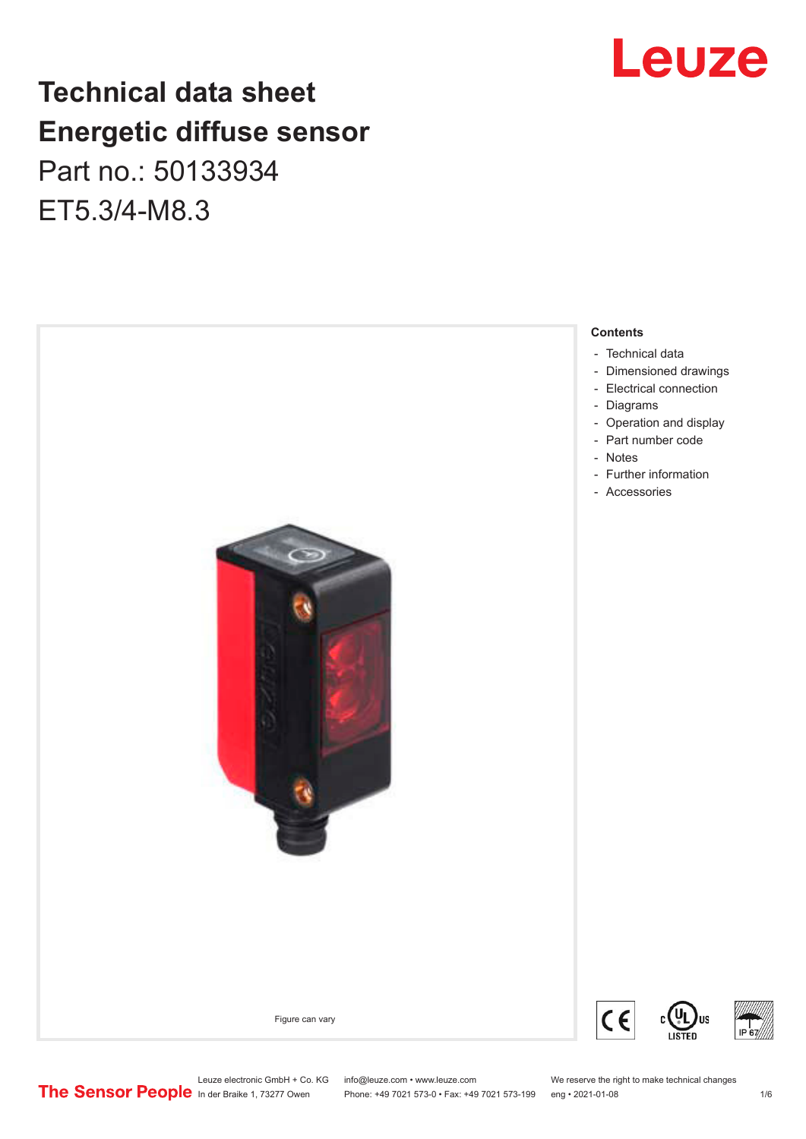## **Technical data sheet Energetic diffuse sensor**

Part no.: 50133934 ET5.3/4-M8.3







Leuze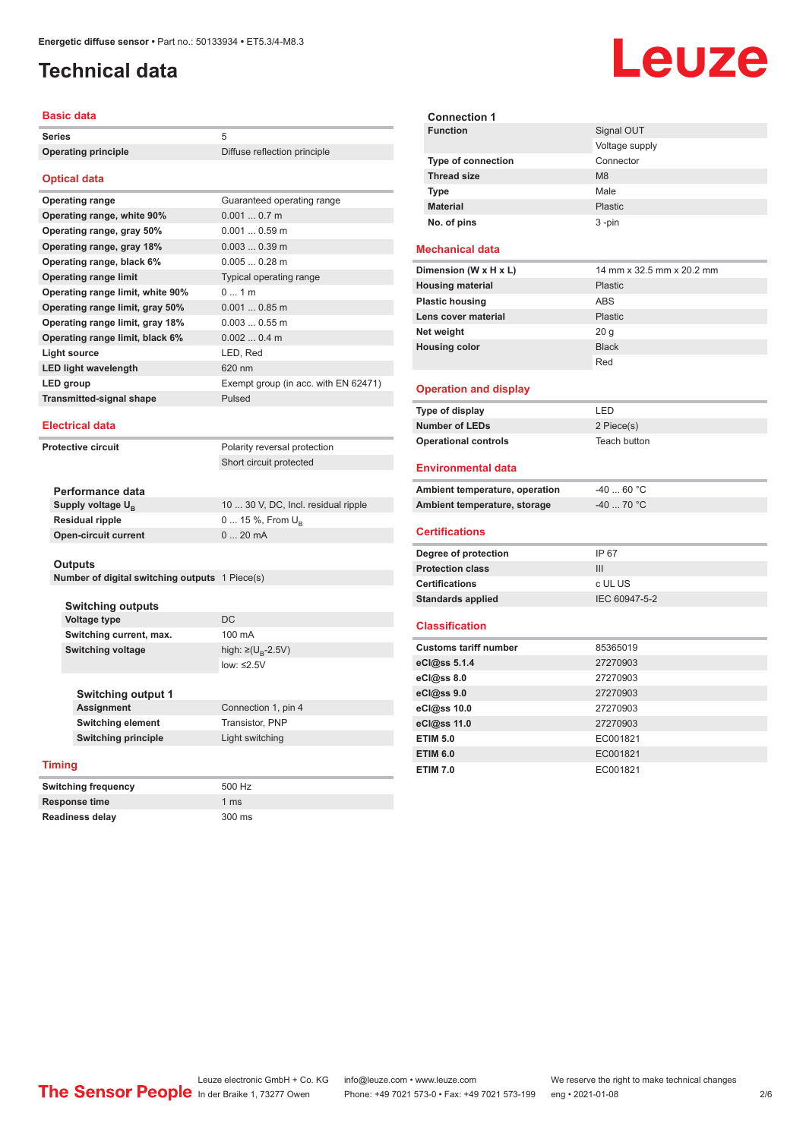## <span id="page-1-0"></span>**Technical data**

### **Basic data**

| <b>Series</b>                    | 5                                    |
|----------------------------------|--------------------------------------|
| <b>Operating principle</b>       | Diffuse reflection principle         |
|                                  |                                      |
| <b>Optical data</b>              |                                      |
| <b>Operating range</b>           | Guaranteed operating range           |
| Operating range, white 90%       | $0.0010.7$ m                         |
| Operating range, gray 50%        | $0.0010.59$ m                        |
| Operating range, gray 18%        | $0.0030.39$ m                        |
| Operating range, black 6%        | $0.0050.28$ m                        |
| <b>Operating range limit</b>     | Typical operating range              |
| Operating range limit, white 90% | 01m                                  |
| Operating range limit, gray 50%  | $0.0010.85$ m                        |
| Operating range limit, gray 18%  | $0.0030.55$ m                        |
| Operating range limit, black 6%  | $0.0020.4$ m                         |
| <b>Light source</b>              | LED, Red                             |
| <b>LED light wavelength</b>      | 620 nm                               |
| <b>LED</b> group                 | Exempt group (in acc. with EN 62471) |
| <b>Transmitted-signal shape</b>  | Pulsed                               |
|                                  |                                      |
| <b>Electrical data</b>           |                                      |
| Protective circuit               | Polarity reversal protection         |
|                                  | Short circuit protected              |
|                                  |                                      |

| Performance data              |                                     |
|-------------------------------|-------------------------------------|
| Supply voltage U <sub>n</sub> | 10  30 V, DC, Incl. residual ripple |
| Residual ripple               | $0 15 \%$ , From $U_{p}$            |
| Open-circuit current          | $020$ mA                            |
|                               |                                     |

#### **Outputs**

| Number of digital switching outputs 1 Piece(s) |  |  |  |  |  |
|------------------------------------------------|--|--|--|--|--|
|------------------------------------------------|--|--|--|--|--|

**Switching outputs Voltage type** DC **Switching current, max.** 100 mA **Switching voltage** 

high:  $\geq (U_{B} - 2.5V)$ low: ≤2.5V

Connection 1, pin 4

**Switching output 1 Switching element** Transistor, PNP **Switching principle** Light switching

### **Timing**

| <b>Switching frequency</b> | 500 Hz          |
|----------------------------|-----------------|
| Response time              | 1 <sub>ms</sub> |
| <b>Readiness delay</b>     | 300 ms          |

| <b>Connection 1</b> |                |
|---------------------|----------------|
| <b>Function</b>     | Signal OUT     |
|                     | Voltage supply |
| Type of connection  | Connector      |
| <b>Thread size</b>  | M <sub>8</sub> |
| <b>Type</b>         | Male           |
| <b>Material</b>     | Plastic        |
| No. of pins         | $3 - pin$      |
|                     |                |

### **Mechanical data**

| Dimension (W x H x L)   | 14 mm x 32.5 mm x 20.2 mm |
|-------------------------|---------------------------|
| <b>Housing material</b> | <b>Plastic</b>            |
| <b>Plastic housing</b>  | <b>ABS</b>                |
| Lens cover material     | <b>Plastic</b>            |
| Net weight              | 20 <sub>g</sub>           |
| <b>Housing color</b>    | <b>Black</b>              |
|                         | Red                       |

#### **Operation and display**

| Type of display             | I FD.        |
|-----------------------------|--------------|
| <b>Number of LEDs</b>       | 2 Piece(s)   |
| <b>Operational controls</b> | Teach button |

### **Environmental data**

| Ambient temperature, operation | $-4060 °C$  |  |
|--------------------------------|-------------|--|
| Ambient temperature, storage   | $-40$ 70 °C |  |
|                                |             |  |

#### **Certifications**

| Degree of protection     | IP 67         |
|--------------------------|---------------|
| <b>Protection class</b>  | Ш             |
| <b>Certifications</b>    | c UL US       |
| <b>Standards applied</b> | IEC 60947-5-2 |

#### **Classification**

| <b>Customs tariff number</b> | 85365019 |
|------------------------------|----------|
| eCl@ss 5.1.4                 | 27270903 |
| eCl@ss 8.0                   | 27270903 |
| eCl@ss 9.0                   | 27270903 |
| eCl@ss 10.0                  | 27270903 |
| eCl@ss 11.0                  | 27270903 |
| <b>ETIM 5.0</b>              | EC001821 |
| <b>ETIM 6.0</b>              | EC001821 |
| <b>ETIM 7.0</b>              | EC001821 |

# Leuze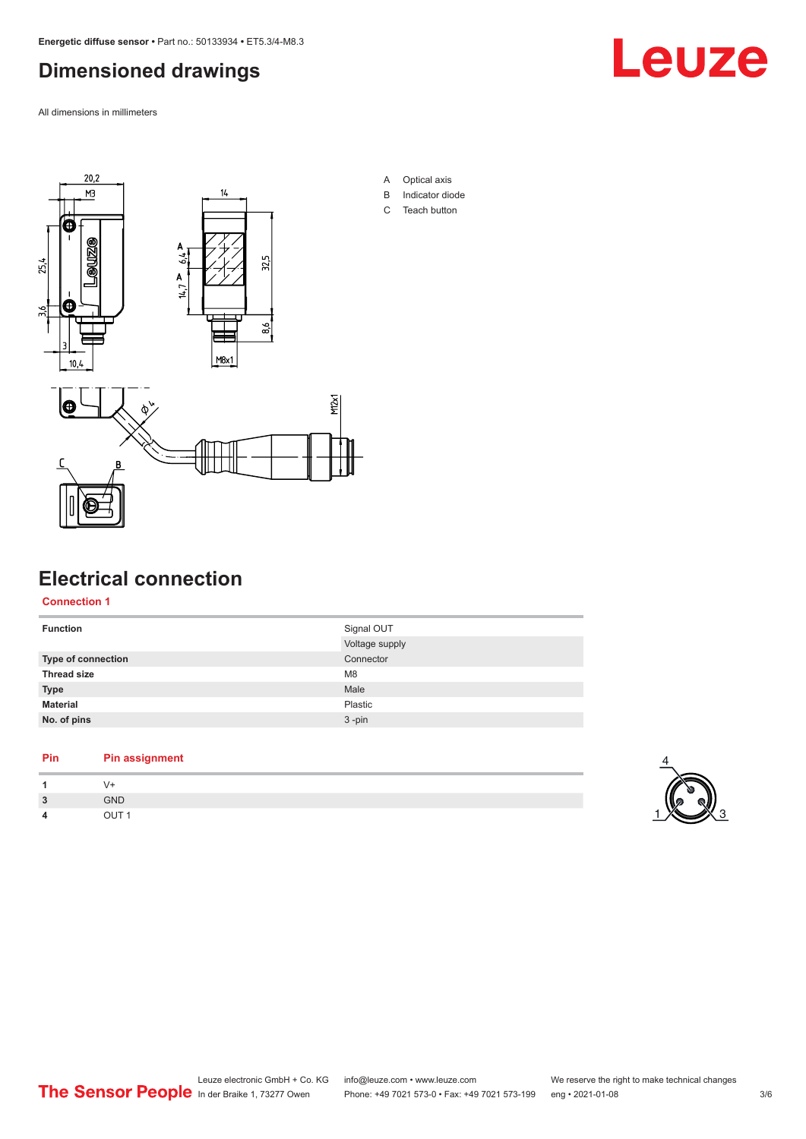## <span id="page-2-0"></span>**Dimensioned drawings**

All dimensions in millimeters





- A Optical axis
- B Indicator diode
- C Teach button



## **Electrical connection**

### **Connection 1**

| Signal OUT     |
|----------------|
| Voltage supply |
| Connector      |
| M <sub>8</sub> |
| Male           |
| Plastic        |
| $3 - pin$      |
|                |

### **Pin Pin assignment**

| $\overline{3}$ | <b>GND</b> |
|----------------|------------|
| 4              | דו ור      |

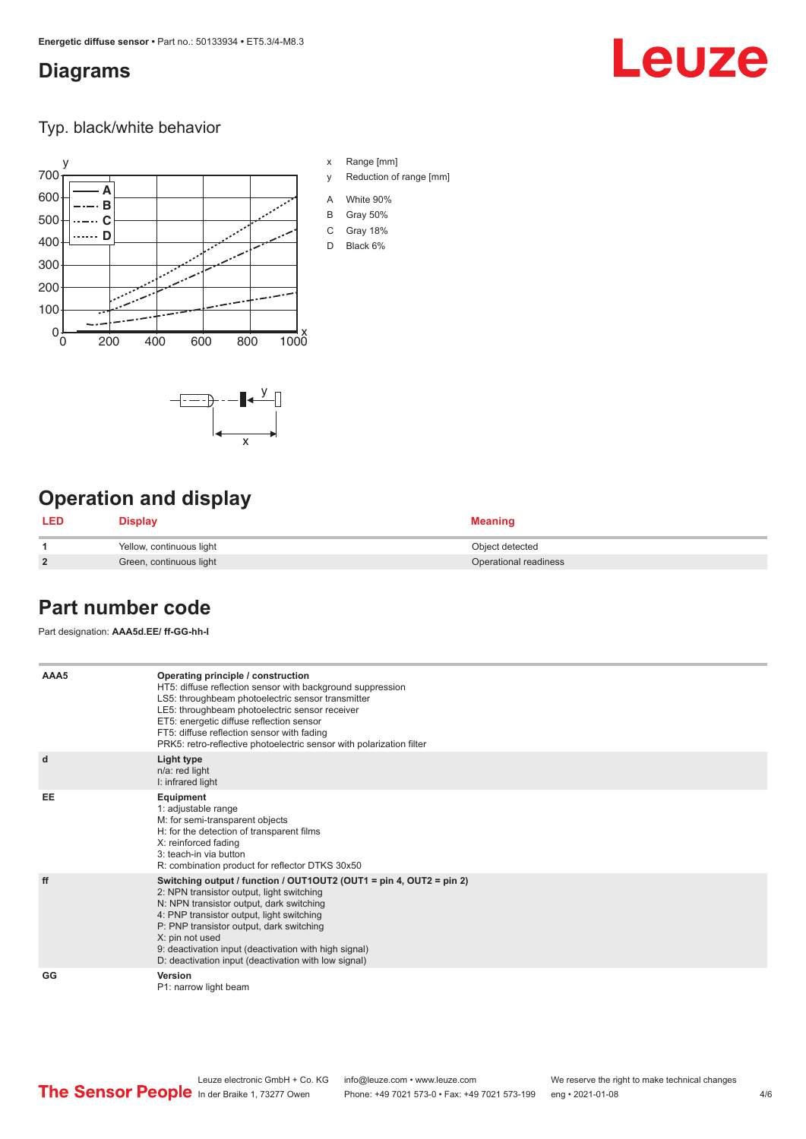### <span id="page-3-0"></span>**Diagrams**

# Leuze

Typ. black/white behavior



x

 $-\overline{...}$   $-\overline{...}$   $-\overline{...}$ 

x Range [mm]

- y Reduction of range [mm]
- A White 90%
- B Gray 50%
- C Gray 18%
- D Black 6%

## **Operation and display**

| <b>LED</b>     | <b>Display</b>           | <b>Meaning</b>        |
|----------------|--------------------------|-----------------------|
|                | Yellow, continuous light | Object detected       |
| $\overline{2}$ | Green, continuous light  | Operational readiness |

### **Part number code**

Part designation: **AAA5d.EE/ ff-GG-hh-I**

| AAA5      | Operating principle / construction<br>HT5: diffuse reflection sensor with background suppression<br>LS5: throughbeam photoelectric sensor transmitter<br>LE5: throughbeam photoelectric sensor receiver<br>ET5: energetic diffuse reflection sensor<br>FT5: diffuse reflection sensor with fading<br>PRK5: retro-reflective photoelectric sensor with polarization filter                 |
|-----------|-------------------------------------------------------------------------------------------------------------------------------------------------------------------------------------------------------------------------------------------------------------------------------------------------------------------------------------------------------------------------------------------|
| d         | Light type<br>n/a: red light<br>I: infrared light                                                                                                                                                                                                                                                                                                                                         |
| <b>EE</b> | Equipment<br>1: adjustable range<br>M: for semi-transparent objects<br>H: for the detection of transparent films<br>X: reinforced fading<br>3: teach-in via button<br>R: combination product for reflector DTKS 30x50                                                                                                                                                                     |
| ff        | Switching output / function / OUT1OUT2 (OUT1 = pin 4, OUT2 = pin 2)<br>2: NPN transistor output, light switching<br>N: NPN transistor output, dark switching<br>4: PNP transistor output, light switching<br>P: PNP transistor output, dark switching<br>X: pin not used<br>9: deactivation input (deactivation with high signal)<br>D: deactivation input (deactivation with low signal) |
| GG        | Version<br>P1: narrow light beam                                                                                                                                                                                                                                                                                                                                                          |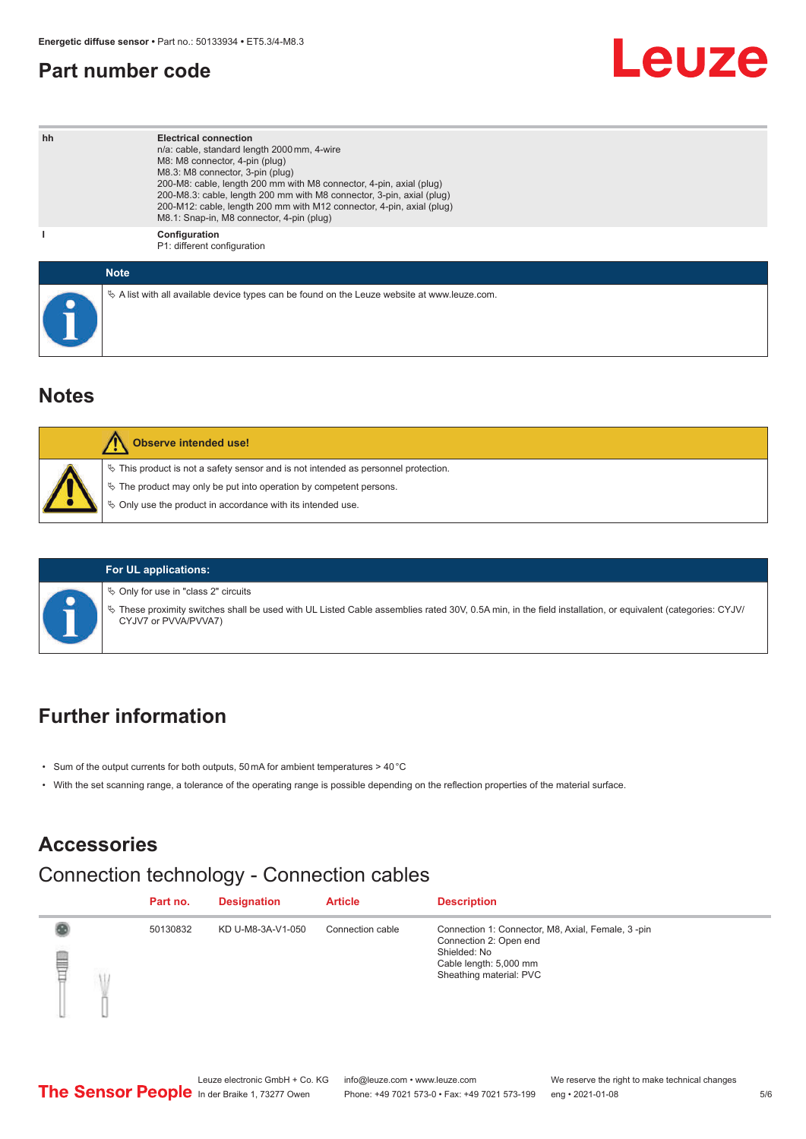### <span id="page-4-0"></span>**Part number code**

# Leuze

| hh | <b>Electrical connection</b><br>n/a: cable, standard length 2000 mm, 4-wire<br>M8: M8 connector, 4-pin (plug)<br>M8.3: M8 connector, 3-pin (plug)<br>200-M8: cable, length 200 mm with M8 connector, 4-pin, axial (plug)<br>200-M8.3: cable, length 200 mm with M8 connector, 3-pin, axial (plug)<br>200-M12: cable, length 200 mm with M12 connector, 4-pin, axial (plug)<br>M8.1: Snap-in, M8 connector, 4-pin (plug) |
|----|-------------------------------------------------------------------------------------------------------------------------------------------------------------------------------------------------------------------------------------------------------------------------------------------------------------------------------------------------------------------------------------------------------------------------|
|    | Configuration<br>P1: different configuration                                                                                                                                                                                                                                                                                                                                                                            |
|    | <b>Note</b>                                                                                                                                                                                                                                                                                                                                                                                                             |
|    | $\&$ A list with all available device types can be found on the Leuze website at www.leuze.com.                                                                                                                                                                                                                                                                                                                         |

### **Notes**

| <b>Observe intended use!</b>                                                                                                                                                                                                  |
|-------------------------------------------------------------------------------------------------------------------------------------------------------------------------------------------------------------------------------|
| $\%$ This product is not a safety sensor and is not intended as personnel protection.<br>$\%$ The product may only be put into operation by competent persons.<br>♦ Only use the product in accordance with its intended use. |

### **For UL applications:**

 $\%$  Only for use in "class 2" circuits

ª These proximity switches shall be used with UL Listed Cable assemblies rated 30V, 0.5A min, in the field installation, or equivalent (categories: CYJV/ CYJV7 or PVVA/PVVA7)

### **Further information**

- Sum of the output currents for both outputs, 50 mA for ambient temperatures > 40 °C
- With the set scanning range, a tolerance of the operating range is possible depending on the reflection properties of the material surface.

## **Accessories**

## Connection technology - Connection cables

|        | Part no. | <b>Designation</b> | <b>Article</b>   | <b>Description</b>                                                                                                                               |
|--------|----------|--------------------|------------------|--------------------------------------------------------------------------------------------------------------------------------------------------|
| e<br>F | 50130832 | KD U-M8-3A-V1-050  | Connection cable | Connection 1: Connector, M8, Axial, Female, 3-pin<br>Connection 2: Open end<br>Shielded: No<br>Cable length: 5,000 mm<br>Sheathing material: PVC |